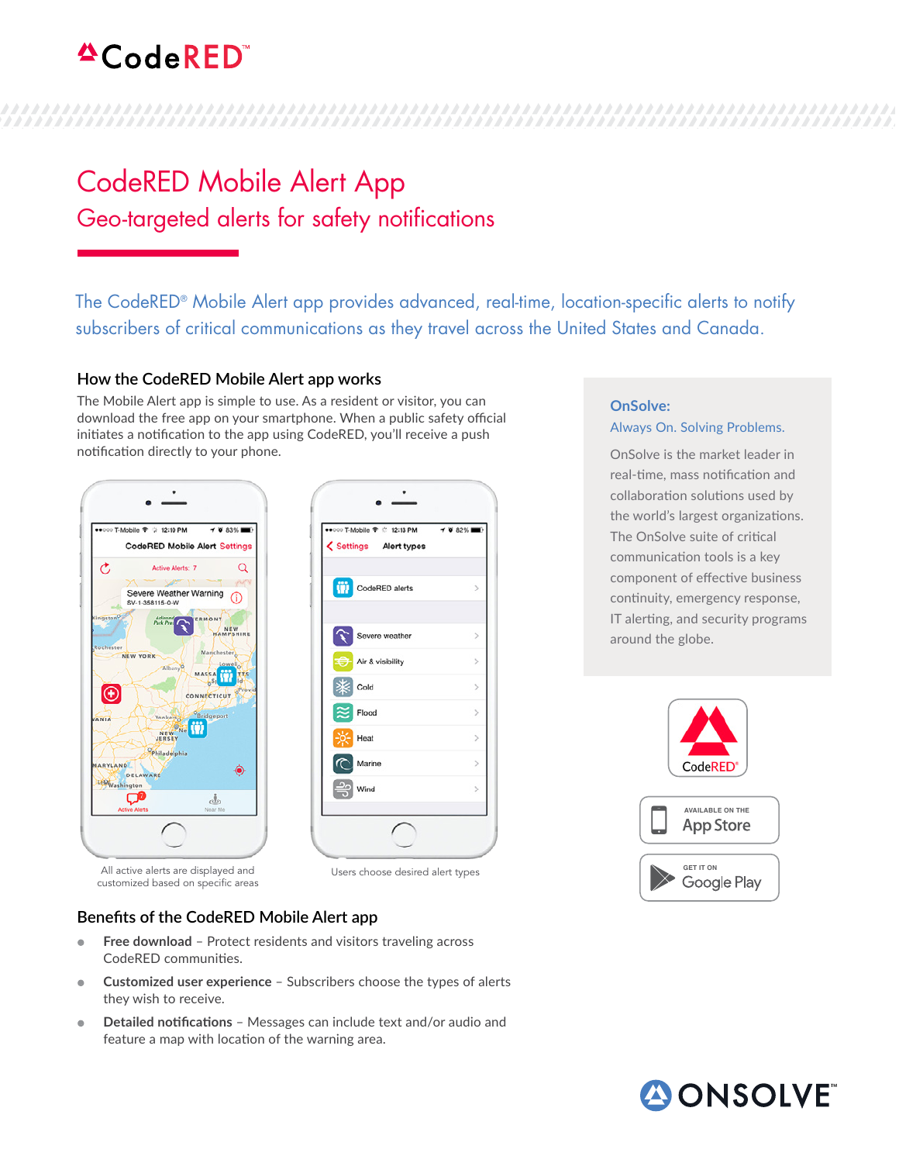# $^4$ CodeRED

## CodeRED Mobile Alert App Geo-targeted alerts for safety notifications

The CodeRED® Mobile Alert app provides advanced, real-time, location-specific alerts to notify subscribers of critical communications as they travel across the United States and Canada.

 $\rightarrow$  82%

 $\overline{\phantom{a}}$ 

 $\,$ 

 $\overline{\phantom{a}}$ 

 $\overline{ }$ 

 $\overline{ }$ 

 $\mathcal{P}$ 

#### **How the CodeRED Mobile Alert app works**

The Mobile Alert app is simple to use. As a resident or visitor, you can download the free app on your smartphone. When a public safety official initiates a notification to the app using CodeRED, you'll receive a push notification directly to your phone.



Users choose desired alert types

### **Benefits of the CodeRED Mobile Alert app**

All active alerts are displayed and customized based on specific areas

- **Free download** Protect residents and visitors traveling across CodeRED communities.
- **Customized user experience** Subscribers choose the types of alerts they wish to receive.
- **Detailed notifications** Messages can include text and/or audio and feature a map with location of the warning area.

#### **OnSolve:**  Always On. Solving Problems.

OnSolve is the market leader in real-time, mass notification and collaboration solutions used by the world's largest organizations. The OnSolve suite of critical communication tools is a key component of effective business continuity, emergency response, IT alerting, and security programs around the globe.